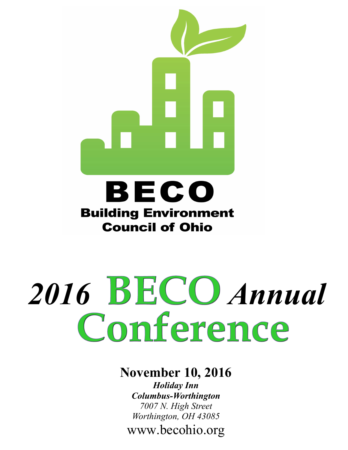

## BECO **Building Environment Council of Ohio**

# 2016 **BECO** Annual<br>Conference

#### **November 10, 2016**

*Holiday Inn Columbus-Worthington 7007 N. High Street Worthington, OH 43085* www.becohio.org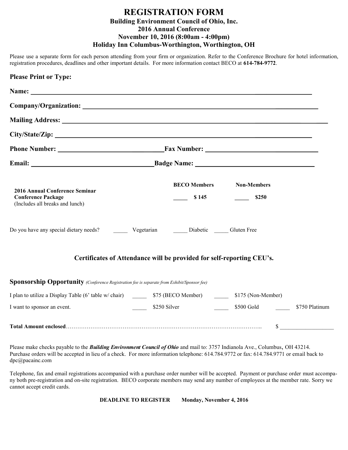#### **REGISTRATION FORM Building Environment Council of Ohio, Inc. 2016 Annual Conference November 10, 2016 (8:00am - 4:00pm) Holiday Inn Columbus-Worthington, Worthington, OH**

Please use a separate form for each person attending from your firm or organization. Refer to the Conference Brochure for hotel information, registration procedures, deadlines and other important details. For more information contact BECO at **614-784-9772**.

| <b>Please Print or Type:</b>                                                                                                                                                                                                    |                                                                       |                             |                |
|---------------------------------------------------------------------------------------------------------------------------------------------------------------------------------------------------------------------------------|-----------------------------------------------------------------------|-----------------------------|----------------|
| Name: Name: Name: Name: Name: Name: Name: Name: Name: Name: Name: Name: Name: Name: Name: Name: Name: Name: Name: Name: Name: Name: Name: Name: Name: Name: Name: Name: Name: Name: Name: Name: Name: Name: Name: Name: Name:   |                                                                       |                             |                |
|                                                                                                                                                                                                                                 |                                                                       |                             |                |
| Mailing Address: 1988 and 2008 and 2008 and 2008 and 2008 and 2008 and 2008 and 2008 and 2008 and 2008 and 200                                                                                                                  |                                                                       |                             |                |
|                                                                                                                                                                                                                                 |                                                                       |                             |                |
|                                                                                                                                                                                                                                 |                                                                       |                             |                |
|                                                                                                                                                                                                                                 |                                                                       |                             |                |
| 2016 Annual Conference Seminar<br><b>Conference Package</b><br>(Includes all breaks and lunch)                                                                                                                                  | <b>BECO Members</b><br>\$145                                          | <b>Non-Members</b><br>\$250 |                |
| Do you have any special dietary needs?<br>Vegetarian<br>Liabetic  Liabetic  Liabetic  Liabetic  Liabetic  Liabetic  Liabetic  Liabetic  Liabetic  Liabetic  Liabetic  Liabetic  Liabetic  Liabetic  Liabetic  Liabetic  Liabeti |                                                                       |                             |                |
|                                                                                                                                                                                                                                 | Certificates of Attendance will be provided for self-reporting CEU's. |                             |                |
| Sponsorship Opportunity (Conference Registration fee is separate from Exhibit/Sponsor fee)                                                                                                                                      |                                                                       |                             |                |
| I plan to utilize a Display Table (6' table w/ chair) 575 (BECO Member) 5175 (Non-Member)                                                                                                                                       |                                                                       |                             |                |
| I want to sponsor an event.                                                                                                                                                                                                     | <u>and a strong strong to</u><br>\$250 Silver                         | \$500 Gold                  | \$750 Platinum |
|                                                                                                                                                                                                                                 |                                                                       | \$                          |                |

Please make checks payable to the *Building Environment Council of Ohio* and mail to: 3757 Indianola Ave., Columbus, OH 43214. Purchase orders will be accepted in lieu of a check. For more information telephone: 614.784.9772 or fax: 614.784.9771 or email back to dpc@pacainc.com

Telephone, fax and email registrations accompanied with a purchase order number will be accepted. Payment or purchase order must accompany both pre-registration and on-site registration. BECO corporate members may send any number of employees at the member rate. Sorry we cannot accept credit cards.

**DEADLINE TO REGISTER Monday, November 4, 2016**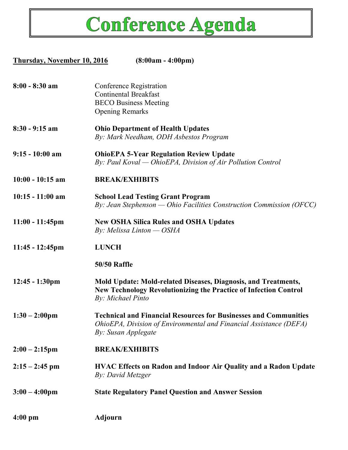

| Thursday, November 10, 2016 | $(8:00am - 4:00pm)$                                                                                                                                                   |  |
|-----------------------------|-----------------------------------------------------------------------------------------------------------------------------------------------------------------------|--|
| $8:00 - 8:30$ am            | Conference Registration<br><b>Continental Breakfast</b><br><b>BECO Business Meeting</b><br><b>Opening Remarks</b>                                                     |  |
| $8:30 - 9:15$ am            | <b>Ohio Department of Health Updates</b><br>By: Mark Needham, ODH Asbestos Program                                                                                    |  |
| $9:15 - 10:00$ am           | <b>OhioEPA 5-Year Regulation Review Update</b><br>By: Paul Koval — OhioEPA, Division of Air Pollution Control                                                         |  |
| $10:00 - 10:15$ am          | <b>BREAK/EXHIBITS</b>                                                                                                                                                 |  |
| $10:15 - 11:00$ am          | <b>School Lead Testing Grant Program</b><br>By: Jean Stephenson — Ohio Facilities Construction Commission (OFCC)                                                      |  |
| $11:00 - 11:45$ pm          | <b>New OSHA Silica Rules and OSHA Updates</b><br>By: Melissa Linton $-$ OSHA                                                                                          |  |
| $11:45 - 12:45$ pm          | <b>LUNCH</b>                                                                                                                                                          |  |
|                             | <b>50/50 Raffle</b>                                                                                                                                                   |  |
| $12:45 - 1:30 \text{pm}$    | <b>Mold Update: Mold-related Diseases, Diagnosis, and Treatments,</b><br><b>New Technology Revolutionizing the Practice of Infection Control</b><br>By: Michael Pinto |  |
| $1:30 - 2:00 \text{pm}$     | <b>Technical and Financial Resources for Businesses and Communities</b><br>OhioEPA, Division of Environmental and Financial Assistance (DEFA)<br>By: Susan Applegate  |  |
| $2:00 - 2:15$ pm            | <b>BREAK/EXHIBITS</b>                                                                                                                                                 |  |
| $2:15 - 2:45$ pm            | <b>HVAC Effects on Radon and Indoor Air Quality and a Radon Update</b><br>By: David Metzger                                                                           |  |
| $3:00 - 4:00 \text{pm}$     | <b>State Regulatory Panel Question and Answer Session</b>                                                                                                             |  |
| $4:00 \text{ pm}$           | <b>Adjourn</b>                                                                                                                                                        |  |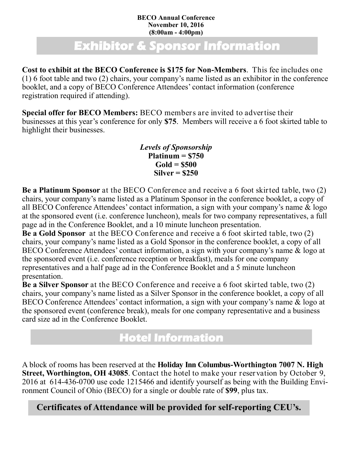#### **BECO Annual Conference November 10, 2016 (8:00am - 4:00pm)**

### **Exhibitor & Sponsor Information**

**Cost to exhibit at the BECO Conference is \$175 for Non-Members**. This fee includes one (1) 6 foot table and two (2) chairs, your company's name listed as an exhibitor in the conference booklet, and a copy of BECO Conference Attendees' contact information (conference registration required if attending).

**Special offer for BECO Members:** BECO members are invited to advertise their businesses at this year's conference for only **\$75**. Members will receive a 6 foot skirted table to highlight their businesses.

> *Levels of Sponsorship* **Platinum = \$750 Gold = \$500 Silver = \$250**

**Be a Platinum Sponsor** at the BECO Conference and receive a 6 foot skirted table, two (2) chairs, your company's name listed as a Platinum Sponsor in the conference booklet, a copy of all BECO Conference Attendees' contact information, a sign with your company's name & logo at the sponsored event (i.e. conference luncheon), meals for two company representatives, a full page ad in the Conference Booklet, and a 10 minute luncheon presentation.

**Be a Gold Sponsor** at the BECO Conference and receive a 6 foot skirted table, two (2) chairs, your company's name listed as a Gold Sponsor in the conference booklet, a copy of all BECO Conference Attendees' contact information, a sign with your company's name & logo at the sponsored event (i.e. conference reception or breakfast), meals for one company representatives and a half page ad in the Conference Booklet and a 5 minute luncheon presentation.

**Be a Silver Sponsor** at the BECO Conference and receive a 6 foot skirted table, two (2) chairs, your company's name listed as a Silver Sponsor in the conference booklet, a copy of all BECO Conference Attendees' contact information, a sign with your company's name & logo at the sponsored event (conference break), meals for one company representative and a business card size ad in the Conference Booklet.

#### **Hotel Information**

A block of rooms has been reserved at the **Holiday Inn Columbus-Worthington 7007 N. High Street, Worthington, OH 43085**. Contact the hotel to make your reservation by October 9, 2016 at 614-436-0700 use code 1215466 and identify yourself as being with the Building Environment Council of Ohio (BECO) for a single or double rate of **\$99**, plus tax.

**Certificates of Attendance will be provided for self-reporting CEU's.**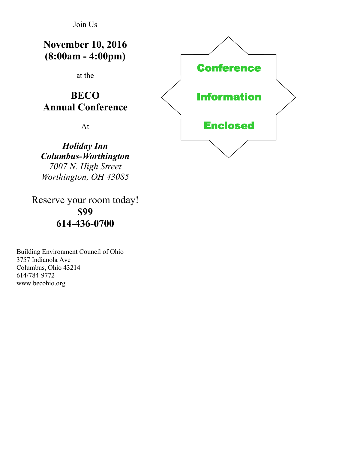Join Us

**November 10, 2016 (8:00am - 4:00pm)**

at the

#### **BECO Annual Conference**

At

*Holiday Inn Columbus-Worthington 7007 N. High Street Worthington, OH 43085*

Reserve your room today! **\$99 614-436-0700**

Building Environment Council of Ohio 3757 Indianola Ave Columbus, Ohio 43214 614/784-9772 www.becohio.org